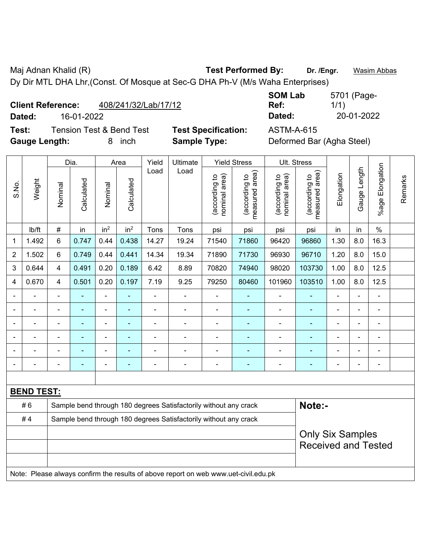Maj Adnan Khalid (R) **Test Performed By:** Dr. /Engr. **Wasim Abbas** Dy Dir MTL DHA Lhr,(Const. Of Mosque at Sec-G DHA Ph-V (M/s Waha Enterprises)

| <b>Client Reference:</b> | 408/241/32/Lab/17/12 |
|--------------------------|----------------------|
|                          |                      |

**Test:** Tension Test & Bend Test **Test Specification:** ASTM-A-615 **Gauge Length:** 8 inch **Sample Type:** Deformed Bar (Agha Steel)

**SOM Lab Ref:**  5701 (Page-1/1) **Dated:** 16-01-2022 **Dated:** 20-01-2022

|                |                   |                         | Dia.                     |                          | Area            | Yield | Ultimate                                                                            |                                | <b>Yield Stress</b>             |                                | Ult. Stress                     |                |                |                          |         |
|----------------|-------------------|-------------------------|--------------------------|--------------------------|-----------------|-------|-------------------------------------------------------------------------------------|--------------------------------|---------------------------------|--------------------------------|---------------------------------|----------------|----------------|--------------------------|---------|
| S.No.          | Weight            | Nominal                 | Calculated               | Nominal                  | Calculated      | Load  | Load                                                                                | nominal area)<br>(according to | (according to<br>measured area) | nominal area)<br>(according to | (according to<br>measured area) | Elongation     | Gauge Length   | Elongation<br>$%$ age    | Remarks |
|                | Ib/ft             | $\#$                    | in                       | in <sup>2</sup>          | in <sup>2</sup> | Tons  | Tons                                                                                | psi                            | psi                             | psi                            | psi                             | in             | in             | $\%$                     |         |
| $\mathbf 1$    | 1.492             | 6                       | 0.747                    | 0.44                     | 0.438           | 14.27 | 19.24                                                                               | 71540                          | 71860                           | 96420                          | 96860                           | 1.30           | 8.0            | 16.3                     |         |
| 2              | 1.502             | 6                       | 0.749                    | 0.44                     | 0.441           | 14.34 | 19.34                                                                               | 71890                          | 71730                           | 96930                          | 96710                           | 1.20           | 8.0            | 15.0                     |         |
| 3              | 0.644             | $\overline{\mathbf{4}}$ | 0.491                    | 0.20                     | 0.189           | 6.42  | 8.89                                                                                | 70820                          | 74940                           | 98020                          | 103730                          | 1.00           | 8.0            | 12.5                     |         |
| 4              | 0.670             | 4                       | 0.501                    | 0.20                     | 0.197           | 7.19  | 9.25                                                                                | 79250                          | 80460                           | 101960                         | 103510                          | 1.00           | 8.0            | 12.5                     |         |
|                | $\blacksquare$    |                         | $\overline{\phantom{a}}$ | ÷,                       | ÷.              | L,    | L.                                                                                  | $\overline{a}$                 | $\blacksquare$                  | $\blacksquare$                 | ÷                               | $\blacksquare$ | ÷,             | $\blacksquare$           |         |
|                | $\blacksquare$    | $\blacksquare$          | $\blacksquare$           | $\blacksquare$           | $\blacksquare$  | ä,    | ÷,                                                                                  | $\blacksquare$                 | $\blacksquare$                  | $\blacksquare$                 | $\blacksquare$                  | $\blacksquare$ | $\blacksquare$ | $\overline{\phantom{a}}$ |         |
|                |                   |                         | $\blacksquare$           | $\blacksquare$           |                 |       |                                                                                     | $\blacksquare$                 | $\blacksquare$                  | $\blacksquare$                 | $\blacksquare$                  |                |                | $\blacksquare$           |         |
|                |                   |                         |                          | ä,                       |                 |       |                                                                                     |                                |                                 |                                |                                 |                |                | $\blacksquare$           |         |
|                |                   |                         |                          | $\overline{\phantom{0}}$ |                 |       | $\blacksquare$                                                                      | $\blacksquare$                 | ٠                               | $\blacksquare$                 | ۰                               |                | $\blacksquare$ | ۰                        |         |
| $\blacksquare$ |                   |                         | ÷                        | ÷                        | ٠               |       | $\blacksquare$                                                                      | $\overline{\phantom{a}}$       | ÷                               | $\blacksquare$                 | $\blacksquare$                  | ۰              | $\blacksquare$ | $\overline{\phantom{a}}$ |         |
|                |                   |                         |                          |                          |                 |       |                                                                                     |                                |                                 |                                |                                 |                |                |                          |         |
|                | <b>BEND TEST:</b> |                         |                          |                          |                 |       |                                                                                     |                                |                                 |                                |                                 |                |                |                          |         |
|                | #6                |                         |                          |                          |                 |       | Sample bend through 180 degrees Satisfactorily without any crack                    |                                |                                 |                                | Note:-                          |                |                |                          |         |
|                | #4                |                         |                          |                          |                 |       | Sample bend through 180 degrees Satisfactorily without any crack                    |                                |                                 |                                |                                 |                |                |                          |         |
|                |                   | <b>Only Six Samples</b> |                          |                          |                 |       |                                                                                     |                                |                                 |                                |                                 |                |                |                          |         |
|                |                   |                         |                          |                          |                 |       |                                                                                     |                                |                                 |                                | <b>Received and Tested</b>      |                |                |                          |         |
|                |                   |                         |                          |                          |                 |       |                                                                                     |                                |                                 |                                |                                 |                |                |                          |         |
|                |                   |                         |                          |                          |                 |       | Note: Please always confirm the results of above report on web www.uet-civil.edu.pk |                                |                                 |                                |                                 |                |                |                          |         |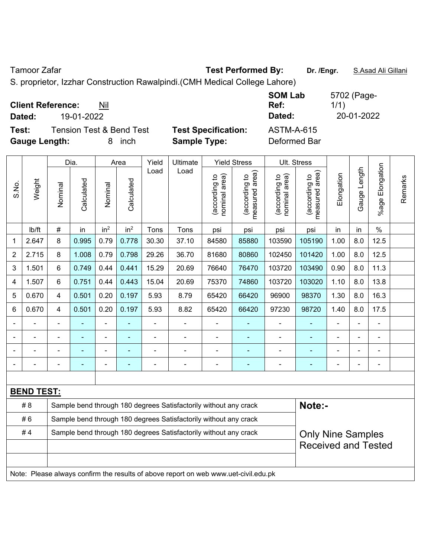Tamoor Zafar **Test Performed By:** Dr. /Engr. **S.Asad Ali Gillani** 

S. proprietor, Izzhar Construction Rawalpindi.(CMH Medical College Lahore)

| <b>Client Reference:</b><br>Nil<br>19-01-2022<br>Dated: |                            | <b>SOM Lab</b><br>Ref:<br>Dated: | 5702 (Page-<br>1/1)<br>20-01-2022 |
|---------------------------------------------------------|----------------------------|----------------------------------|-----------------------------------|
| <b>Tension Test &amp; Bend Test</b><br>Test:            | <b>Test Specification:</b> | <b>ASTM-A-615</b>                |                                   |
| <b>Gauge Length:</b><br>inch<br>8                       | <b>Sample Type:</b>        | Deformed Bar                     |                                   |

|       |                   |                                                                                              | Dia.       |                 | Area            | Yield          | <b>Ultimate</b>                                                                     |                                | <b>Yield Stress</b>             |                                | Ult. Stress                                 |                |                |                      |         |
|-------|-------------------|----------------------------------------------------------------------------------------------|------------|-----------------|-----------------|----------------|-------------------------------------------------------------------------------------|--------------------------------|---------------------------------|--------------------------------|---------------------------------------------|----------------|----------------|----------------------|---------|
| S.No. | Weight            | Nominal                                                                                      | Calculated | Nominal         | Calculated      | Load           | Load                                                                                | nominal area)<br>(according to | measured area)<br>(according to | nominal area)<br>(according to | (according to<br>neasured area)<br>measured | Elongation     | Gauge Length   | Elongation<br>%age I | Remarks |
|       | lb/ft             | $\#$                                                                                         | in         | in <sup>2</sup> | in <sup>2</sup> | Tons           | Tons                                                                                | psi                            | psi                             | psi                            | psi                                         | in             | in             | $\%$                 |         |
| 1     | 2.647             | 8                                                                                            | 0.995      | 0.79            | 0.778           | 30.30          | 37.10                                                                               | 84580                          | 85880                           | 103590                         | 105190                                      | 1.00           | 8.0            | 12.5                 |         |
| 2     | 2.715             | 8                                                                                            | 1.008      | 0.79            | 0.798           | 29.26          | 36.70                                                                               | 81680                          | 80860                           | 102450                         | 101420                                      | 1.00           | 8.0            | 12.5                 |         |
| 3     | 1.501             | 6                                                                                            | 0.749      | 0.44            | 0.441           | 15.29          | 20.69                                                                               | 76640                          | 76470                           | 103720                         | 103490                                      | 0.90           | 8.0            | 11.3                 |         |
| 4     | 1.507             | 6                                                                                            | 0.751      | 0.44            | 0.443           | 15.04          | 20.69                                                                               | 75370                          | 74860                           | 103720                         | 103020                                      | 1.10           | 8.0            | 13.8                 |         |
| 5     | 0.670             | $\overline{4}$                                                                               | 0.501      | 0.20            | 0.197           | 5.93           | 8.79                                                                                | 65420                          | 66420                           | 96900                          | 98370                                       | 1.30           | 8.0            | 16.3                 |         |
| 6     | 0.670             | $\overline{4}$                                                                               | 0.501      | 0.20            | 0.197           | 5.93           | 8.82                                                                                | 65420                          | 66420                           | 97230                          | 98720                                       | 1.40           | 8.0            | 17.5                 |         |
|       |                   |                                                                                              |            | ÷               |                 |                |                                                                                     | Ē,                             | ä,                              |                                |                                             |                | ä,             | $\blacksquare$       |         |
|       |                   | Ē,                                                                                           | ä,         | ÷               | ۰               | $\blacksquare$ | $\blacksquare$                                                                      | $\overline{a}$                 | ۰                               | $\blacksquare$                 | ÷                                           | $\blacksquare$ | $\blacksquare$ | $\blacksquare$       |         |
|       |                   |                                                                                              | ä,         | ÷               | ۳               |                |                                                                                     | $\blacksquare$                 | ۰                               | $\blacksquare$                 | ۰                                           | $\blacksquare$ | L,             | $\blacksquare$       |         |
|       |                   | $\blacksquare$                                                                               | ä,         | $\blacksquare$  | ÷               | $\blacksquare$ | $\blacksquare$                                                                      | $\blacksquare$                 | $\blacksquare$                  | $\blacksquare$                 | ۰                                           | $\blacksquare$ | Ē,             | $\blacksquare$       |         |
|       |                   |                                                                                              |            |                 |                 |                |                                                                                     |                                |                                 |                                |                                             |                |                |                      |         |
|       | <b>BEND TEST:</b> |                                                                                              |            |                 |                 |                |                                                                                     |                                |                                 |                                |                                             |                |                |                      |         |
|       | # 8               |                                                                                              |            |                 |                 |                | Sample bend through 180 degrees Satisfactorily without any crack                    |                                |                                 |                                | Note:-                                      |                |                |                      |         |
|       | #6                |                                                                                              |            |                 |                 |                | Sample bend through 180 degrees Satisfactorily without any crack                    |                                |                                 |                                |                                             |                |                |                      |         |
|       | #4                | Sample bend through 180 degrees Satisfactorily without any crack<br><b>Only Nine Samples</b> |            |                 |                 |                |                                                                                     |                                |                                 |                                |                                             |                |                |                      |         |
|       |                   | <b>Received and Tested</b>                                                                   |            |                 |                 |                |                                                                                     |                                |                                 |                                |                                             |                |                |                      |         |
|       |                   |                                                                                              |            |                 |                 |                |                                                                                     |                                |                                 |                                |                                             |                |                |                      |         |
|       |                   |                                                                                              |            |                 |                 |                | Note: Please always confirm the results of above report on web www.uet-civil.edu.pk |                                |                                 |                                |                                             |                |                |                      |         |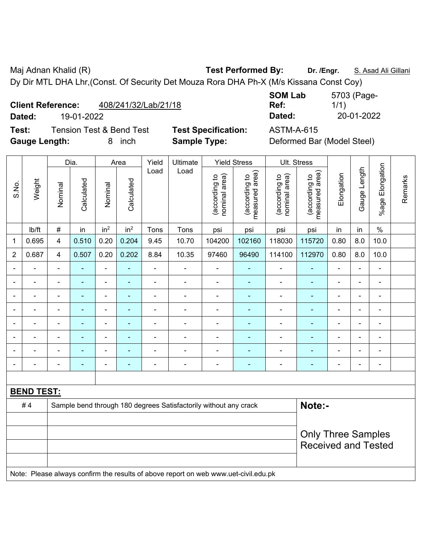Maj Adnan Khalid (R) **Test Performed By: Dr. /Engr.** S. Asad Ali Gillani Dy Dir MTL DHA Lhr,(Const. Of Security Det Mouza Rora DHA Ph-X (M/s Kissana Const Coy)

| <b>Client Reference:</b> | 408/241/32/Lab/21/18 |
|--------------------------|----------------------|
|--------------------------|----------------------|

 $\top$ 

 $\top$ 

 $\overline{\phantom{a}}$ 

 $\overline{\phantom{a}}$ 

**Test:** Tension Test & Bend Test **Test Specification:** ASTM-A-615 **Gauge Length:** 8 inch **Sample Type:** Deformed Bar (Model Steel)

 $\overline{\phantom{a}}$ 

**SOM Lab Ref:**  5703 (Page-1/1) **Dated:** 19-01-2022 **Dated:** 20-01-2022

|                |                   |                            | Dia.           | Area            |                          | Yield          | Ultimate                                                                            |                                | <b>Yield Stress</b>             | Ult. Stress                    |                                 |                |                |                          |         |
|----------------|-------------------|----------------------------|----------------|-----------------|--------------------------|----------------|-------------------------------------------------------------------------------------|--------------------------------|---------------------------------|--------------------------------|---------------------------------|----------------|----------------|--------------------------|---------|
| S.No.          | Weight            | Nominal                    | Calculated     | Nominal         | Calculated               | Load           | Load                                                                                | (according to<br>nominal area) | (according to<br>measured area) | nominal area)<br>(according to | (according to<br>measured area) | Elongation     | Gauge Length   | %age Elongation          | Remarks |
|                | lb/ft             | $\#$                       | in             | in <sup>2</sup> | in <sup>2</sup>          | Tons           | Tons                                                                                | psi                            | psi                             | psi                            | psi                             | in             | in             | $\%$                     |         |
| $\mathbf{1}$   | 0.695             | $\overline{4}$             | 0.510          | 0.20            | 0.204                    | 9.45           | 10.70                                                                               | 104200                         | 102160                          | 118030                         | 115720                          | 0.80           | 8.0            | 10.0                     |         |
| $\overline{2}$ | 0.687             | 4                          | 0.507          | 0.20            | 0.202                    | 8.84           | 10.35                                                                               | 97460                          | 96490                           | 114100                         | 112970                          | 0.80           | 8.0            | 10.0                     |         |
|                |                   | ä,                         | ٠              | ÷,              | ÷                        | ÷,             | $\blacksquare$                                                                      | $\blacksquare$                 | ٠                               | $\blacksquare$                 | ä,                              | $\blacksquare$ | $\blacksquare$ | $\overline{\phantom{a}}$ |         |
|                |                   | ä,                         | $\blacksquare$ | ä,              | $\blacksquare$           | $\blacksquare$ | ÷,                                                                                  | $\blacksquare$                 | $\blacksquare$                  | $\blacksquare$                 | $\blacksquare$                  | ä,             | $\blacksquare$ | ä,                       |         |
|                |                   | Ē,                         | $\blacksquare$ | ۰               | $\overline{\phantom{0}}$ | $\blacksquare$ |                                                                                     | ÷                              |                                 | ÷                              |                                 |                |                | ÷                        |         |
|                |                   | $\blacksquare$             |                | ۰               | $\blacksquare$           | $\blacksquare$ | $\blacksquare$                                                                      | $\blacksquare$                 | $\blacksquare$                  | $\blacksquare$                 | $\blacksquare$                  |                | $\blacksquare$ | $\blacksquare$           |         |
|                | ÷                 | ä,                         | ٠              | $\blacksquare$  | $\blacksquare$           | $\blacksquare$ | ÷,                                                                                  | ÷,                             | ÷,                              | $\blacksquare$                 | $\blacksquare$                  | ä,             | $\blacksquare$ | ä,                       |         |
|                | ۳                 | ä,                         | $\blacksquare$ | $\blacksquare$  | $\blacksquare$           | $\blacksquare$ | ÷,                                                                                  | ä,                             | $\blacksquare$                  | $\blacksquare$                 | $\blacksquare$                  | $\blacksquare$ | $\blacksquare$ | $\blacksquare$           |         |
|                |                   |                            |                | $\blacksquare$  |                          |                | $\blacksquare$                                                                      | ÷                              |                                 | Ē,                             |                                 |                |                | $\blacksquare$           |         |
|                |                   | ٠                          |                | ۰               |                          | $\blacksquare$ | $\blacksquare$                                                                      | ÷                              |                                 | ٠                              |                                 |                | $\blacksquare$ | $\blacksquare$           |         |
|                |                   |                            |                |                 |                          |                |                                                                                     |                                |                                 |                                |                                 |                |                |                          |         |
|                | <b>BEND TEST:</b> |                            |                |                 |                          |                |                                                                                     |                                |                                 |                                |                                 |                |                |                          |         |
|                | #4                |                            |                |                 |                          |                | Sample bend through 180 degrees Satisfactorily without any crack                    |                                |                                 |                                | Note:-                          |                |                |                          |         |
|                |                   |                            |                |                 |                          |                |                                                                                     |                                |                                 |                                |                                 |                |                |                          |         |
|                |                   |                            |                |                 |                          |                |                                                                                     |                                |                                 |                                | <b>Only Three Samples</b>       |                |                |                          |         |
|                |                   | <b>Received and Tested</b> |                |                 |                          |                |                                                                                     |                                |                                 |                                |                                 |                |                |                          |         |
|                |                   |                            |                |                 |                          |                | Note: Please always confirm the results of above report on web www.uet-civil.edu.pk |                                |                                 |                                |                                 |                |                |                          |         |

 $\blacksquare$ 

 $\overline{\phantom{a}}$  $\overline{\phantom{a}}$ 

 $\top$ 

٦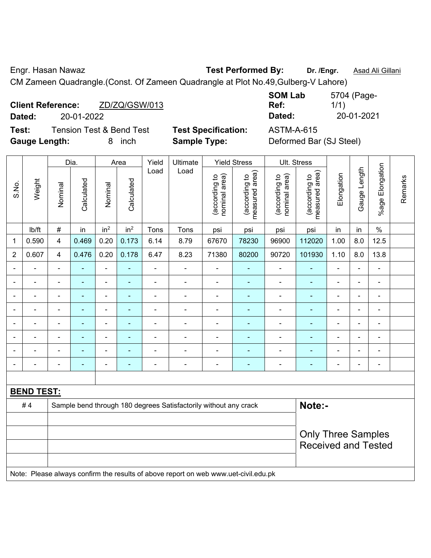Engr. Hasan Nawaz **Test Performed By: Dr. /Engr.** Asad Ali Gillani

CM Zameen Quadrangle.(Const. Of Zameen Quadrangle at Plot No.49,Gulberg-V Lahore)

|        | <b>Client Reference:</b> | ZD/ZQ/GSW/013       |
|--------|--------------------------|---------------------|
| Dated: | 20-01-2022               |                     |
|        |                          | T : T : 0 D : 1 T : |

**Test:** Tension Test & Bend Test **Test Specification:** ASTM-A-615

**SOM Lab Ref:**  5704 (Page-1/1) **Dated:** 20-01-2022 **Dated:** 20-01-2021

**Gauge Length:** 8 inch **Sample Type:** Deformed Bar (SJ Steel)

|                |                   |                                                                  | Dia.           |                 | Area            | Yield                    | Ultimate                 |                                | <b>Yield Stress</b>             | Ult. Stress                    |                                 |                            |                          |                          |         |
|----------------|-------------------|------------------------------------------------------------------|----------------|-----------------|-----------------|--------------------------|--------------------------|--------------------------------|---------------------------------|--------------------------------|---------------------------------|----------------------------|--------------------------|--------------------------|---------|
| S.No.          | Weight            | Nominal                                                          | Calculated     | Nominal         | Calculated      | Load                     | Load                     | nominal area)<br>(according to | measured area)<br>(according to | nominal area)<br>(according to | measured area)<br>(according to | Elongation                 | Gauge Length             | %age Elongation          | Remarks |
|                | lb/ft             | $\#$                                                             | in             | in <sup>2</sup> | in <sup>2</sup> | Tons                     | Tons                     | psi                            | psi                             | psi                            | psi                             | in                         | in                       | $\%$                     |         |
| 1              | 0.590             | 4                                                                | 0.469          | 0.20            | 0.173           | 6.14                     | 8.79                     | 67670                          | 78230                           | 96900                          | 112020                          | 1.00                       | 8.0                      | 12.5                     |         |
| $\overline{2}$ | 0.607             | 4                                                                | 0.476          | 0.20            | 0.178           | 6.47                     | 8.23                     | 71380                          | 80200                           | 90720                          | 101930                          | 1.10                       | 8.0                      | 13.8                     |         |
| $\blacksquare$ | $\blacksquare$    | $\overline{\phantom{a}}$                                         | ٠              | $\blacksquare$  | ۰               | $\overline{\phantom{a}}$ | $\overline{\phantom{a}}$ | $\blacksquare$                 | ۰                               | ÷,                             | ÷                               | $\blacksquare$             | $\blacksquare$           | $\overline{\phantom{a}}$ |         |
| $\blacksquare$ |                   | $\blacksquare$                                                   | $\blacksquare$ | $\blacksquare$  | ۰               | -                        | ÷                        | $\blacksquare$                 | ۰                               | $\blacksquare$                 | ÷                               | $\blacksquare$             | $\overline{\phantom{a}}$ | $\blacksquare$           |         |
|                |                   | $\blacksquare$                                                   | ۰              | -               | -               | $\blacksquare$           | ÷                        | ۰                              | ۰                               | ۰                              | $\blacksquare$                  | $\blacksquare$             | $\blacksquare$           | ۰                        |         |
| $\blacksquare$ | $\blacksquare$    | $\blacksquare$                                                   | ۰              | $\blacksquare$  | ۰               | -                        | ÷                        | $\blacksquare$                 | $\overline{\phantom{0}}$        | $\overline{a}$                 | ٠                               | $\overline{\phantom{0}}$   | $\overline{\phantom{a}}$ | $\blacksquare$           |         |
| $\blacksquare$ |                   | $\blacksquare$                                                   | ۰              | -               | $\blacksquare$  | ä,                       | ÷                        | $\blacksquare$                 | ۰                               | ۰                              | ÷                               | $\blacksquare$             | $\overline{\phantom{a}}$ | $\blacksquare$           |         |
| $\blacksquare$ |                   |                                                                  | ۰              | -               | -               | ÷                        | ÷                        | $\blacksquare$                 |                                 | ۰                              | $\blacksquare$                  | $\blacksquare$             | $\overline{\phantom{a}}$ | $\blacksquare$           |         |
| $\blacksquare$ | $\blacksquare$    | $\blacksquare$                                                   | $\blacksquare$ | -               | ۰               | ä,                       | $\blacksquare$           | $\blacksquare$                 | ۰                               | $\blacksquare$                 | ÷                               | $\blacksquare$             | $\overline{\phantom{a}}$ | $\overline{\phantom{a}}$ |         |
| $\blacksquare$ | $\blacksquare$    | $\blacksquare$                                                   | ۰              | -               | ۰               | -                        | ÷                        | $\blacksquare$                 | ۰                               | ۰                              | ÷                               | $\blacksquare$             | $\overline{\phantom{a}}$ | $\overline{\phantom{a}}$ |         |
|                |                   |                                                                  |                |                 |                 |                          |                          |                                |                                 |                                |                                 |                            |                          |                          |         |
|                | <b>BEND TEST:</b> |                                                                  |                |                 |                 |                          |                          |                                |                                 |                                |                                 |                            |                          |                          |         |
|                | #4                | Sample bend through 180 degrees Satisfactorily without any crack |                |                 |                 |                          |                          |                                |                                 |                                | Note:-                          |                            |                          |                          |         |
|                |                   |                                                                  |                |                 |                 |                          |                          |                                |                                 |                                |                                 |                            |                          |                          |         |
|                |                   |                                                                  |                |                 |                 |                          |                          |                                |                                 |                                |                                 | <b>Only Three Samples</b>  |                          |                          |         |
|                |                   |                                                                  |                |                 |                 |                          |                          |                                |                                 |                                |                                 | <b>Received and Tested</b> |                          |                          |         |
|                |                   |                                                                  |                |                 |                 |                          |                          |                                |                                 |                                |                                 |                            |                          |                          |         |

Note: Please always confirm the results of above report on web www.uet-civil.edu.pk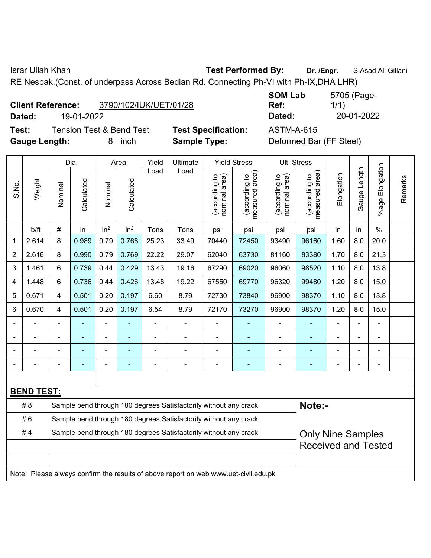Israr Ullah Khan **Test Performed By: Dr. /Engr.** S.Asad Ali Gillani

RE Nespak.(Const. of underpass Across Bedian Rd. Connecting Ph-VI with Ph-IX,DHA LHR)

| <b>Client Reference:</b> | 3790/102/IUK/UET/01/28 |
|--------------------------|------------------------|
|                          |                        |

**Test:** Tension Test & Bend Test **Test Specification:** ASTM-A-615 **Gauge Length:** 8 inch **Sample Type:** Deformed Bar (FF Steel)

**SOM Lab Ref:**  5705 (Page-1/1) **Dated:** 19-01-2022 **Dated:** 20-01-2022

|                |                   |                                                                  | Dia.       |                 | Area            |                | Yield<br>Ultimate<br>Load<br>Load                                                   |                                | <b>Yield Stress</b>             |                                | Ult. Stress                     |            |                          |                       |         |
|----------------|-------------------|------------------------------------------------------------------|------------|-----------------|-----------------|----------------|-------------------------------------------------------------------------------------|--------------------------------|---------------------------------|--------------------------------|---------------------------------|------------|--------------------------|-----------------------|---------|
| S.No.          | Weight            | Nominal                                                          | Calculated | Nominal         | Calculated      |                |                                                                                     | nominal area)<br>(according to | (according to<br>measured area) | nominal area)<br>(according to | measured area)<br>(according to | Elongation | Gauge Length             | Elongation<br>$%$ age | Remarks |
|                | lb/ft             | #                                                                | in         | in <sup>2</sup> | in <sup>2</sup> | Tons           | Tons                                                                                | psi                            | psi                             | psi                            | psi                             | in         | in                       | $\%$                  |         |
| 1              | 2.614             | 8                                                                | 0.989      | 0.79            | 0.768           | 25.23          | 33.49                                                                               | 70440                          | 72450                           | 93490                          | 96160                           | 1.60       | 8.0                      | 20.0                  |         |
| $\overline{2}$ | 2.616             | 8                                                                | 0.990      | 0.79            | 0.769           | 22.22          | 29.07                                                                               | 62040                          | 63730                           | 81160                          | 83380                           | 1.70       | 8.0                      | 21.3                  |         |
| 3              | 1.461             | 6                                                                | 0.739      | 0.44            | 0.429           | 13.43          | 19.16                                                                               | 67290                          | 69020                           | 96060                          | 98520                           | 1.10       | 8.0                      | 13.8                  |         |
| 4              | 1.448             | 6                                                                | 0.736      | 0.44            | 0.426           | 13.48          | 19.22                                                                               | 67550                          | 69770                           | 96320                          | 99480                           | 1.20       | 8.0                      | 15.0                  |         |
| 5              | 0.671             | 4                                                                | 0.501      | 0.20            | 0.197           | 6.60           | 8.79                                                                                | 72730                          | 73840                           | 96900                          | 98370                           | 1.10       | 8.0                      | 13.8                  |         |
| 6              | 0.670             | 4                                                                | 0.501      | 0.20            | 0.197           | 6.54           | 8.79                                                                                | 72170                          | 73270                           | 96900                          | 98370                           | 1.20       | 8.0                      | 15.0                  |         |
|                | $\overline{a}$    | $\blacksquare$                                                   | ä,         | ÷               |                 | $\blacksquare$ | ÷,                                                                                  | $\overline{a}$                 | ٠                               | ۰                              | ä,                              |            | ÷,                       | $\blacksquare$        |         |
|                | ä,                |                                                                  | ÷,         | ÷               |                 | ä,             | ÷                                                                                   |                                | $\blacksquare$                  | ÷,                             | ä,                              |            |                          | $\blacksquare$        |         |
|                |                   |                                                                  |            | ÷               |                 |                | ÷                                                                                   |                                | $\blacksquare$                  | ۰                              |                                 |            |                          |                       |         |
|                |                   |                                                                  |            |                 |                 |                |                                                                                     |                                | ۰                               |                                |                                 |            |                          | $\blacksquare$        |         |
|                |                   |                                                                  |            |                 |                 |                |                                                                                     |                                |                                 |                                |                                 |            |                          |                       |         |
|                | <b>BEND TEST:</b> |                                                                  |            |                 |                 |                |                                                                                     |                                |                                 |                                |                                 |            |                          |                       |         |
|                | # 8               |                                                                  |            |                 |                 |                | Sample bend through 180 degrees Satisfactorily without any crack                    |                                |                                 |                                | Note:-                          |            |                          |                       |         |
|                | #6                |                                                                  |            |                 |                 |                | Sample bend through 180 degrees Satisfactorily without any crack                    |                                |                                 |                                |                                 |            |                          |                       |         |
|                | #4                | Sample bend through 180 degrees Satisfactorily without any crack |            |                 |                 |                |                                                                                     |                                |                                 |                                |                                 |            | <b>Only Nine Samples</b> |                       |         |
|                |                   | <b>Received and Tested</b>                                       |            |                 |                 |                |                                                                                     |                                |                                 |                                |                                 |            |                          |                       |         |
|                |                   |                                                                  |            |                 |                 |                |                                                                                     |                                |                                 |                                |                                 |            |                          |                       |         |
|                |                   |                                                                  |            |                 |                 |                | Note: Please always confirm the results of above report on web www.uet-civil.edu.pk |                                |                                 |                                |                                 |            |                          |                       |         |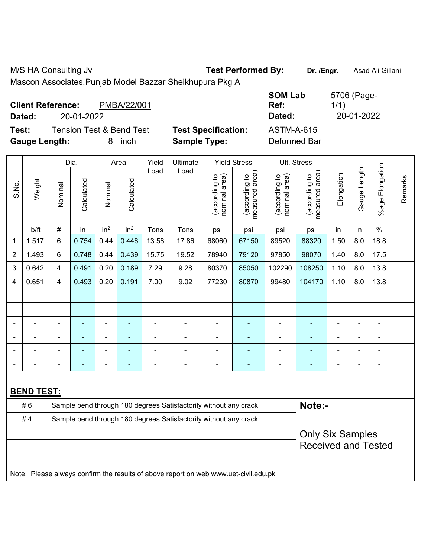M/S HA Consulting Jv **Test Performed By:** Dr. /Engr. **Asad Ali Gillani** 

Mascon Associates,Punjab Model Bazzar Sheikhupura Pkg A

| <b>Client Reference:</b><br>Dated: | 20-01-2022                          | PMBA/22/001 |                            | <b>SOM Lab</b><br>Ref:<br>Dated: | 5706 (Page-<br>1/1)<br>20-01-2022 |
|------------------------------------|-------------------------------------|-------------|----------------------------|----------------------------------|-----------------------------------|
| Test:                              | <b>Tension Test &amp; Bend Test</b> |             | <b>Test Specification:</b> | <b>ASTM-A-615</b>                |                                   |
| <b>Gauge Length:</b>               |                                     | inch        | <b>Sample Type:</b>        | Deformed Bar                     |                                   |

|                |                   |                         | Dia.                     |                 | Area                     | Yield | Ultimate                                                                            |                                | <b>Yield Stress</b>             |                                | Ult. Stress                     |                              |                |                              |         |
|----------------|-------------------|-------------------------|--------------------------|-----------------|--------------------------|-------|-------------------------------------------------------------------------------------|--------------------------------|---------------------------------|--------------------------------|---------------------------------|------------------------------|----------------|------------------------------|---------|
| S.No.          | Weight            | Nominal                 | Calculated               | Nominal         | Calculated               | Load  | Load                                                                                | nominal area)<br>(according to | (according to<br>measured area) | nominal area)<br>(according to | measured area)<br>(according to | Elongation                   | Gauge Length   | %age Elongation              | Remarks |
|                | Ib/ft             | $\#$                    | in                       | in <sup>2</sup> | in <sup>2</sup>          | Tons  | Tons                                                                                | psi                            | psi                             | psi                            | psi                             | in                           | in             | $\%$                         |         |
| 1              | 1.517             | 6                       | 0.754                    | 0.44            | 0.446                    | 13.58 | 17.86                                                                               | 68060                          | 67150                           | 89520                          | 88320                           | 1.50                         | 8.0            | 18.8                         |         |
| $\overline{2}$ | 1.493             | 6                       | 0.748                    | 0.44            | 0.439                    | 15.75 | 19.52                                                                               | 78940                          | 79120                           | 97850                          | 98070                           | 1.40                         | 8.0            | 17.5                         |         |
| 3              | 0.642             | $\overline{4}$          | 0.491                    | 0.20            | 0.189                    | 7.29  | 9.28                                                                                | 80370                          | 85050                           | 102290                         | 108250                          | 1.10                         | 8.0            | 13.8                         |         |
| 4              | 0.651             | 4                       | 0.493                    | 0.20            | 0.191                    | 7.00  | 9.02                                                                                | 77230                          | 80870                           | 99480                          | 104170                          | 1.10                         | 8.0            | 13.8                         |         |
|                |                   | $\blacksquare$          | $\blacksquare$           | $\blacksquare$  | $\blacksquare$           | ä,    | $\blacksquare$                                                                      | $\overline{a}$                 | $\blacksquare$                  | $\overline{a}$                 | $\blacksquare$                  | $\blacksquare$               | $\blacksquare$ | $\blacksquare$               |         |
|                |                   |                         | $\blacksquare$           | ÷               | ٠                        | L,    | $\blacksquare$                                                                      | $\blacksquare$                 | $\blacksquare$                  | $\blacksquare$                 | $\blacksquare$                  |                              |                | $\blacksquare$               |         |
|                |                   |                         | $\blacksquare$           | ۰               |                          |       | $\blacksquare$                                                                      | $\blacksquare$                 | $\blacksquare$                  | $\qquad \qquad \blacksquare$   | ٠                               |                              |                | $\blacksquare$               |         |
|                | $\blacksquare$    |                         | ۳                        | ÷,              |                          | L,    | $\blacksquare$                                                                      | $\blacksquare$                 | $\blacksquare$                  | $\blacksquare$                 | $\blacksquare$                  |                              | $\blacksquare$ | $\blacksquare$               |         |
|                |                   |                         | $\overline{\phantom{0}}$ | ÷               | Ē.                       |       |                                                                                     | $\overline{a}$                 | ۳                               | $\blacksquare$                 |                                 |                              | $\blacksquare$ | -                            |         |
|                |                   | $\blacksquare$          | ٠                        | ۰               | $\overline{\phantom{0}}$ | Ē,    | ÷,                                                                                  | $\blacksquare$                 | $\blacksquare$                  | $\qquad \qquad \blacksquare$   | $\blacksquare$                  | $\qquad \qquad \blacksquare$ | $\blacksquare$ | $\qquad \qquad \blacksquare$ |         |
|                |                   |                         |                          |                 |                          |       |                                                                                     |                                |                                 |                                |                                 |                              |                |                              |         |
|                | <b>BEND TEST:</b> |                         |                          |                 |                          |       |                                                                                     |                                |                                 |                                |                                 |                              |                |                              |         |
|                | #6                |                         |                          |                 |                          |       | Sample bend through 180 degrees Satisfactorily without any crack                    |                                |                                 |                                | Note:-                          |                              |                |                              |         |
|                | #4                |                         |                          |                 |                          |       | Sample bend through 180 degrees Satisfactorily without any crack                    |                                |                                 |                                |                                 |                              |                |                              |         |
|                |                   | <b>Only Six Samples</b> |                          |                 |                          |       |                                                                                     |                                |                                 |                                |                                 |                              |                |                              |         |
|                |                   |                         |                          |                 |                          |       |                                                                                     |                                |                                 |                                | <b>Received and Tested</b>      |                              |                |                              |         |
|                |                   |                         |                          |                 |                          |       |                                                                                     |                                |                                 |                                |                                 |                              |                |                              |         |
|                |                   |                         |                          |                 |                          |       | Note: Please always confirm the results of above report on web www.uet-civil.edu.pk |                                |                                 |                                |                                 |                              |                |                              |         |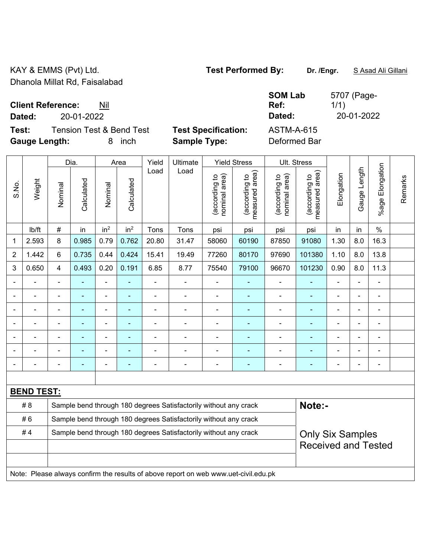KAY & EMMS (Pvt) Ltd. **Test Performed By:** Dr. /Engr. **SAsad Ali Gillani** Gillani Dhanola Millat Rd, Faisalabad

**Client Reference:** Nil

**Dated:** 20-01-2022 **Dated:** 20-01-2022

**Test:** Tension Test & Bend Test **Test Specification:** ASTM-A-615 **Gauge Length:** 8 inch **Sample Type:** Deformed Bar

**SOM Lab Ref:** 

|                |                   |                                                                  | Dia.           |                 | Area            | Yield          | Ultimate                                                                            |                                | <b>Yield Stress</b>             |                                | Ult. Stress                     |                         |                |                       |         |
|----------------|-------------------|------------------------------------------------------------------|----------------|-----------------|-----------------|----------------|-------------------------------------------------------------------------------------|--------------------------------|---------------------------------|--------------------------------|---------------------------------|-------------------------|----------------|-----------------------|---------|
| S.No.          | Weight            | Nominal                                                          | Calculated     | Nominal         | Calculated      | Load           | Load                                                                                | nominal area)<br>(according to | (according to<br>measured area) | nominal area)<br>(according to | measured area)<br>(according to | Elongation              | Gauge Length   | Elongation<br>$%$ age | Remarks |
|                | lb/ft             | $\#$                                                             | in             | in <sup>2</sup> | in <sup>2</sup> | Tons           | Tons                                                                                | psi                            | psi                             | psi                            | psi                             | in                      | in             | $\%$                  |         |
| 1              | 2.593             | 8                                                                | 0.985          | 0.79            | 0.762           | 20.80          | 31.47                                                                               | 58060                          | 60190                           | 87850                          | 91080                           | 1.30                    | 8.0            | 16.3                  |         |
| $\overline{2}$ | 1.442             | 6                                                                | 0.735          | 0.44            | 0.424           | 15.41          | 19.49                                                                               | 77260                          | 80170                           | 97690                          | 101380                          | 1.10                    | 8.0            | 13.8                  |         |
| $\mathbf{3}$   | 0.650             | $\overline{4}$                                                   | 0.493          | 0.20            | 0.191           | 6.85           | 8.77                                                                                | 75540                          | 79100                           | 96670                          | 101230                          | 0.90                    | 8.0            | 11.3                  |         |
|                |                   |                                                                  |                |                 |                 |                |                                                                                     | $\blacksquare$                 |                                 | ä,                             |                                 |                         |                |                       |         |
|                |                   |                                                                  |                |                 | ۰               |                |                                                                                     | $\overline{\phantom{0}}$       |                                 | $\blacksquare$                 |                                 |                         |                |                       |         |
|                |                   | $\blacksquare$                                                   |                |                 | ä,              | $\blacksquare$ |                                                                                     | -                              |                                 | ÷                              |                                 |                         |                | ÷                     |         |
|                |                   | $\blacksquare$                                                   |                | ä,              | ۰               | $\blacksquare$ | ٠                                                                                   | -                              | $\overline{\phantom{0}}$        | ÷                              | ä,                              | $\blacksquare$          | $\blacksquare$ | ÷                     |         |
|                |                   | $\blacksquare$                                                   | $\blacksquare$ | $\blacksquare$  | ٠               | $\blacksquare$ | $\overline{\phantom{a}}$                                                            | $\blacksquare$                 | $\overline{\phantom{0}}$        | $\blacksquare$                 | $\blacksquare$                  | $\blacksquare$          |                | $\frac{1}{2}$         |         |
|                |                   | $\blacksquare$                                                   | $\blacksquare$ | ÷               | $\blacksquare$  | $\blacksquare$ | $\overline{\phantom{0}}$                                                            | ä,                             | $\blacksquare$                  | ä,                             | ۰                               | $\blacksquare$          |                | $\blacksquare$        |         |
|                |                   |                                                                  |                |                 | ÷               | $\blacksquare$ | Ē,                                                                                  | $\overline{a}$                 | $\blacksquare$                  | -                              |                                 |                         |                | ÷                     |         |
|                |                   |                                                                  |                |                 |                 |                |                                                                                     |                                |                                 |                                |                                 |                         |                |                       |         |
|                | <b>BEND TEST:</b> |                                                                  |                |                 |                 |                |                                                                                     |                                |                                 |                                |                                 |                         |                |                       |         |
|                | # 8               |                                                                  |                |                 |                 |                | Sample bend through 180 degrees Satisfactorily without any crack                    |                                |                                 |                                | Note:-                          |                         |                |                       |         |
|                | #6                |                                                                  |                |                 |                 |                | Sample bend through 180 degrees Satisfactorily without any crack                    |                                |                                 |                                |                                 |                         |                |                       |         |
|                | #4                | Sample bend through 180 degrees Satisfactorily without any crack |                |                 |                 |                |                                                                                     |                                |                                 |                                |                                 | <b>Only Six Samples</b> |                |                       |         |
|                |                   |                                                                  |                |                 |                 |                |                                                                                     |                                |                                 |                                | <b>Received and Tested</b>      |                         |                |                       |         |
|                |                   |                                                                  |                |                 |                 |                |                                                                                     |                                |                                 |                                |                                 |                         |                |                       |         |
|                |                   |                                                                  |                |                 |                 |                | Note: Please always confirm the results of above report on web www.uet-civil.edu.pk |                                |                                 |                                |                                 |                         |                |                       |         |

5707 (Page-1/1)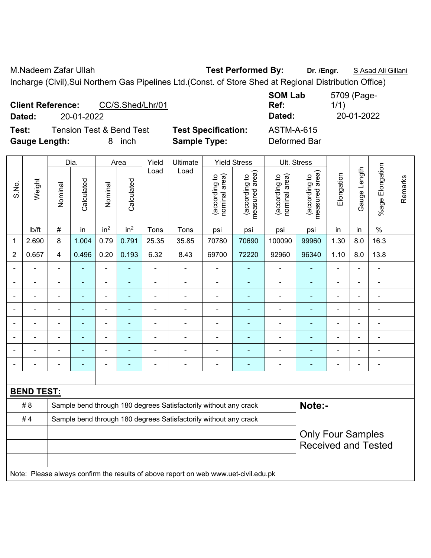M.Nadeem Zafar Ullah **Test Performed By: Dr. /Engr.** S Asad Ali Gillani Incharge (Civil),Sui Northern Gas Pipelines Ltd.(Const. of Store Shed at Regional Distribution Office)

| <b>Client Reference:</b><br>CC/S.Shed/Lhr/01<br>20-01-2022<br>Dated: |                            | <b>SOM Lab</b><br>Ref:<br>Dated: | 5709 (Page-<br>1/1)<br>20-01-2022 |
|----------------------------------------------------------------------|----------------------------|----------------------------------|-----------------------------------|
| <b>Tension Test &amp; Bend Test</b><br>Test:                         | <b>Test Specification:</b> | <b>ASTM-A-615</b>                |                                   |
| <b>Gauge Length:</b><br>inch                                         | <b>Sample Type:</b>        | Deformed Bar                     |                                   |

|                |                   |                | Dia.           |                          | Area            | Yield          | Ultimate                                                                            |                                | <b>Yield Stress</b>             |                                | Ult. Stress                                            |                          |                |                           |         |
|----------------|-------------------|----------------|----------------|--------------------------|-----------------|----------------|-------------------------------------------------------------------------------------|--------------------------------|---------------------------------|--------------------------------|--------------------------------------------------------|--------------------------|----------------|---------------------------|---------|
| S.No.          | Weight            | Nominal        | Calculated     | Nominal                  | Calculated      | Load           | Load                                                                                | nominal area)<br>(according to | (according to<br>measured area) | nominal area)<br>(according to | (according to<br>measured area)                        | Elongation               | Gauge Length   | Elongation<br>$%$ age $ $ | Remarks |
|                | lb/ft             | $\#$           | in             | in <sup>2</sup>          | in <sup>2</sup> | Tons           | Tons                                                                                | psi                            | psi                             | psi                            | psi                                                    | in                       | in             | $\%$                      |         |
| 1              | 2.690             | 8              | 1.004          | 0.79                     | 0.791           | 25.35          | 35.85                                                                               | 70780                          | 70690                           | 100090                         | 99960                                                  | 1.30                     | 8.0            | 16.3                      |         |
| $\overline{2}$ | 0.657             | $\overline{4}$ | 0.496          | 0.20                     | 0.193           | 6.32           | 8.43                                                                                | 69700                          | 72220                           | 92960                          | 96340                                                  | 1.10                     | 8.0            | 13.8                      |         |
| $\blacksquare$ | $\overline{a}$    | $\blacksquare$ |                | $\blacksquare$           | $\blacksquare$  | ä,             | $\blacksquare$                                                                      | $\blacksquare$                 | $\blacksquare$                  | $\blacksquare$                 | ÷,                                                     | $\blacksquare$           | ÷,             | $\blacksquare$            |         |
| $\blacksquare$ | ÷                 | $\blacksquare$ | ä,             | $\blacksquare$           | $\blacksquare$  | L,             | $\blacksquare$                                                                      | $\blacksquare$                 | $\sim$                          | $\blacksquare$                 | $\blacksquare$                                         | ä,                       | ä,             | $\blacksquare$            |         |
|                | $\blacksquare$    | $\blacksquare$ | $\blacksquare$ | $\blacksquare$           | $\sim$          | $\blacksquare$ | $\blacksquare$                                                                      | $\blacksquare$                 | $\blacksquare$                  | $\blacksquare$                 | ä,                                                     | $\overline{\phantom{0}}$ | ÷,             | $\blacksquare$            |         |
|                | $\blacksquare$    | $\blacksquare$ | $\blacksquare$ | $\overline{\phantom{a}}$ | $\sim$          | ä,             | $\blacksquare$                                                                      | $\blacksquare$                 | $\blacksquare$                  | $\blacksquare$                 | ä,                                                     | ÷                        | $\blacksquare$ | $\blacksquare$            |         |
|                |                   |                | ä,             | $\blacksquare$           | ٠               |                | $\blacksquare$                                                                      | $\blacksquare$                 | ä,                              | $\blacksquare$                 | ۰                                                      | ä,                       | ä,             | $\blacksquare$            |         |
|                |                   |                |                | $\blacksquare$           |                 |                |                                                                                     |                                |                                 | $\blacksquare$                 |                                                        |                          | $\overline{a}$ | $\overline{\phantom{0}}$  |         |
|                |                   |                |                | ÷                        |                 |                |                                                                                     |                                | $\overline{\phantom{a}}$        | $\blacksquare$                 | $\blacksquare$                                         |                          | -              | Ē,                        |         |
| $\blacksquare$ |                   | $\blacksquare$ |                | $\overline{a}$           | ٠               |                | $\overline{\phantom{a}}$                                                            | $\blacksquare$                 | $\overline{\phantom{0}}$        | $\overline{\phantom{0}}$       | ۰                                                      | $\overline{\phantom{0}}$ | ÷,             | $\overline{\phantom{a}}$  |         |
|                |                   |                |                |                          |                 |                |                                                                                     |                                |                                 |                                |                                                        |                          |                |                           |         |
|                | <b>BEND TEST:</b> |                |                |                          |                 |                |                                                                                     |                                |                                 |                                |                                                        |                          |                |                           |         |
|                | # 8               |                |                |                          |                 |                | Sample bend through 180 degrees Satisfactorily without any crack                    |                                |                                 |                                | Note:-                                                 |                          |                |                           |         |
|                | #4                |                |                |                          |                 |                | Sample bend through 180 degrees Satisfactorily without any crack                    |                                |                                 |                                |                                                        |                          |                |                           |         |
|                |                   |                |                |                          |                 |                |                                                                                     |                                |                                 |                                | <b>Only Four Samples</b><br><b>Received and Tested</b> |                          |                |                           |         |
|                |                   |                |                |                          |                 |                |                                                                                     |                                |                                 |                                |                                                        |                          |                |                           |         |
|                |                   |                |                |                          |                 |                | Note: Please always confirm the results of above report on web www.uet-civil.edu.pk |                                |                                 |                                |                                                        |                          |                |                           |         |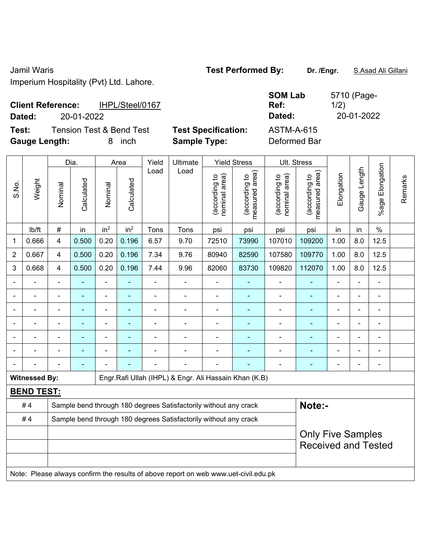Jamil Waris **Test Performed By: Dr. /Engr.** S.Asad Ali Gillani Imperium Hospitality (Pvt) Ltd. Lahore.

| <b>Client Reference:</b> |            | IHPL/Steel/0167          |                            | ື<br>R٥ |
|--------------------------|------------|--------------------------|----------------------------|---------|
| Dated:                   | 20-01-2022 |                          |                            | D       |
| Test:                    |            | Tension Test & Bend Test | <b>Test Specification:</b> | A.      |

**Gauge Length:** 8 inch **Sample Type:** Deformed Bar

**SOM Lab Ref:**  5710 (Page-1/2) **Dated:** 20-01-2022 **Dated:** 20-01-2022 **STM-A-615** 

|                |                      |                         | Dia.                     |                 | Area            | Yield          | Ultimate                                                                            |                                | <b>Yield Stress</b>             |                                | Ult. Stress                     |                          |              |                                                        |         |  |  |
|----------------|----------------------|-------------------------|--------------------------|-----------------|-----------------|----------------|-------------------------------------------------------------------------------------|--------------------------------|---------------------------------|--------------------------------|---------------------------------|--------------------------|--------------|--------------------------------------------------------|---------|--|--|
| S.No.          | Weight               | Nominal                 | Calculated               | Nominal         | Calculated      | Load           | Load                                                                                | (according to<br>nominal area) | (according to<br>measured area) | (according to<br>nominal area) | (according to<br>measured area) | Elongation               | Gauge Length | Elongation<br>$%$ age I                                | Remarks |  |  |
|                | lb/ft                | $\#$                    | in                       | in <sup>2</sup> | in <sup>2</sup> | Tons           | Tons                                                                                | psi                            | psi                             | psi                            | psi                             | in                       | in           | $\%$                                                   |         |  |  |
| 1              | 0.666                | $\overline{\mathbf{4}}$ | 0.500                    | 0.20            | 0.196           | 6.57           | 9.70                                                                                | 72510                          | 73990                           | 107010                         | 109200                          | 1.00                     | 8.0          | 12.5                                                   |         |  |  |
| $\overline{2}$ | 0.667                | 4                       | 0.500                    | 0.20            | 0.196           | 7.34           | 9.76                                                                                | 80940                          | 82590                           | 107580                         | 109770                          | 1.00                     | 8.0          | 12.5                                                   |         |  |  |
| 3              | 0.668                | $\overline{\mathbf{4}}$ | 0.500                    | 0.20            | 0.196           | 7.44           | 9.96                                                                                | 82060                          | 83730                           | 109820                         | 112070                          | 1.00                     | 8.0          | 12.5                                                   |         |  |  |
|                |                      | $\blacksquare$          |                          | ÷,              |                 | $\blacksquare$ | ÷,                                                                                  | $\blacksquare$                 |                                 | $\overline{\phantom{a}}$       |                                 | $\blacksquare$           |              |                                                        |         |  |  |
|                |                      | $\blacksquare$          | $\blacksquare$           | ÷,              | $\blacksquare$  | $\blacksquare$ | ÷                                                                                   | $\blacksquare$                 | $\blacksquare$                  | $\overline{\phantom{a}}$       | $\blacksquare$                  | $\overline{\phantom{0}}$ | ÷            | $\overline{\phantom{a}}$                               |         |  |  |
|                | ÷                    | $\blacksquare$          | $\blacksquare$           | $\blacksquare$  |                 | $\blacksquare$ | ÷                                                                                   | $\blacksquare$                 | $\overline{\phantom{a}}$        | $\blacksquare$                 | $\blacksquare$                  | ÷                        |              | $\blacksquare$                                         |         |  |  |
|                |                      |                         | ÷                        | L,              |                 |                | $\blacksquare$                                                                      | $\blacksquare$                 |                                 | L,                             | $\blacksquare$                  |                          |              |                                                        |         |  |  |
|                |                      |                         |                          | ÷               |                 |                | $\blacksquare$                                                                      |                                |                                 |                                |                                 |                          |              |                                                        |         |  |  |
|                |                      |                         |                          | ä,              |                 |                | $\overline{a}$                                                                      | $\blacksquare$                 |                                 | ä,                             |                                 |                          |              |                                                        |         |  |  |
|                |                      |                         | $\overline{\phantom{0}}$ |                 |                 |                |                                                                                     |                                |                                 | ä,                             | ۰                               |                          |              | $\overline{\phantom{a}}$                               |         |  |  |
|                | <b>Witnessed By:</b> |                         |                          |                 |                 |                | Engr.Rafi Ullah (IHPL) & Engr. Ali Hassain Khan (K.B)                               |                                |                                 |                                |                                 |                          |              |                                                        |         |  |  |
|                | <b>BEND TEST:</b>    |                         |                          |                 |                 |                |                                                                                     |                                |                                 |                                |                                 |                          |              |                                                        |         |  |  |
|                | #4                   |                         |                          |                 |                 |                | Sample bend through 180 degrees Satisfactorily without any crack                    |                                |                                 |                                | Note:-                          |                          |              |                                                        |         |  |  |
|                | #4                   |                         |                          |                 |                 |                | Sample bend through 180 degrees Satisfactorily without any crack                    |                                |                                 |                                |                                 |                          |              |                                                        |         |  |  |
|                |                      |                         |                          |                 |                 |                |                                                                                     |                                |                                 |                                |                                 |                          |              | <b>Only Five Samples</b><br><b>Received and Tested</b> |         |  |  |
|                |                      |                         |                          |                 |                 |                | Note: Please always confirm the results of above report on web www.uet-civil.edu.pk |                                |                                 |                                |                                 |                          |              |                                                        |         |  |  |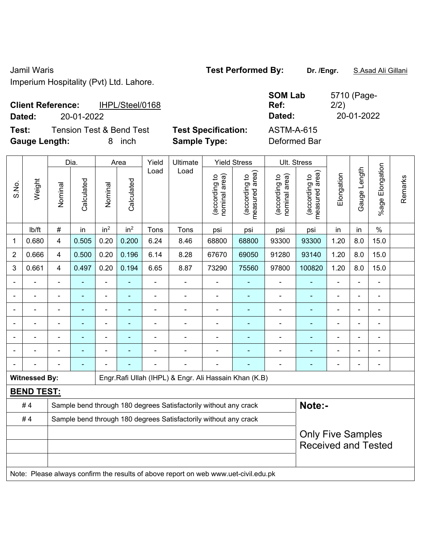Jamil Waris **Test Performed By: Dr. /Engr.** S.Asad Ali Gillani Imperium Hospitality (Pvt) Ltd. Lahore.

| <b>Client Reference:</b><br>IHPL/Steel/0168<br>Dated:<br>20-01-2022 |                                                   | <b>SOM Lab</b><br>Ref:<br>Dated:  | 5710 (Page-<br>2/2)<br>20-01-2022 |
|---------------------------------------------------------------------|---------------------------------------------------|-----------------------------------|-----------------------------------|
| Tension Test & Bend Test<br>Test:<br><b>Gauge Length:</b><br>inch   | <b>Test Specification:</b><br><b>Sample Type:</b> | <b>ASTM-A-615</b><br>Deformed Bar |                                   |

|                |                      |                          | Dia.       |                 | Area            | Yield          | Ultimate                                                                            |                                | <b>Yield Stress</b>             |                                | Ult. Stress                                            |                |                |                          |         |
|----------------|----------------------|--------------------------|------------|-----------------|-----------------|----------------|-------------------------------------------------------------------------------------|--------------------------------|---------------------------------|--------------------------------|--------------------------------------------------------|----------------|----------------|--------------------------|---------|
| S.No.          | Weight               | Nominal                  | Calculated | Nominal         | Calculated      | Load           | Load                                                                                | (according to<br>nominal area) | (according to<br>measured area) | (according to<br>nominal area) | (according to<br>measured area)                        | Elongation     | Gauge Length   | Elongation<br>$%$ age    | Remarks |
|                | lb/ft                | #                        | in         | in <sup>2</sup> | in <sup>2</sup> | Tons           | Tons                                                                                | psi                            | psi                             | psi                            | psi                                                    | in             | in             | $\%$                     |         |
| 1              | 0.680                | 4                        | 0.505      | 0.20            | 0.200           | 6.24           | 8.46                                                                                | 68800                          | 68800                           | 93300                          | 93300                                                  | 1.20           | 8.0            | 15.0                     |         |
| 2              | 0.666                | $\overline{4}$           | 0.500      | 0.20            | 0.196           | 6.14           | 8.28                                                                                | 67670                          | 69050                           | 91280                          | 93140                                                  | 1.20           | 8.0            | 15.0                     |         |
| 3              | 0.661                | $\overline{4}$           | 0.497      | 0.20            | 0.194           | 6.65           | 8.87                                                                                | 73290                          | 75560                           | 97800                          | 100820                                                 | 1.20           | 8.0            | 15.0                     |         |
|                |                      | $\blacksquare$           | L,         | $\blacksquare$  | ÷               | ÷,             | ÷,                                                                                  | $\blacksquare$                 | $\blacksquare$                  | $\frac{1}{2}$                  | ÷,                                                     | ä,             |                | $\overline{\phantom{0}}$ |         |
|                |                      |                          | L.         | $\blacksquare$  |                 |                | $\blacksquare$                                                                      | ä,                             | $\blacksquare$                  | $\blacksquare$                 | ÷                                                      |                |                | $\blacksquare$           |         |
|                |                      |                          |            |                 |                 |                |                                                                                     |                                |                                 |                                |                                                        |                |                |                          |         |
|                |                      |                          |            |                 |                 |                |                                                                                     | $\blacksquare$                 |                                 | ۰                              | ÷,                                                     |                |                | ٠                        |         |
| $\blacksquare$ |                      | $\overline{\phantom{a}}$ | ÷,         | $\blacksquare$  | ٠               | $\blacksquare$ | $\blacksquare$                                                                      | $\blacksquare$                 | $\blacksquare$                  | ÷,                             | ÷,                                                     | $\blacksquare$ | $\blacksquare$ | $\blacksquare$           |         |
|                |                      |                          | ÷,         | $\blacksquare$  |                 |                |                                                                                     | $\blacksquare$                 | ÷                               | -                              | ÷,                                                     |                |                | ÷                        |         |
|                |                      |                          | ÷,         |                 |                 |                |                                                                                     | $\blacksquare$                 |                                 | ۰                              | ä,                                                     | $\blacksquare$ |                | $\blacksquare$           |         |
|                | <b>Witnessed By:</b> |                          |            |                 |                 |                | Engr.Rafi Ullah (IHPL) & Engr. Ali Hassain Khan (K.B)                               |                                |                                 |                                |                                                        |                |                |                          |         |
|                | <b>BEND TEST:</b>    |                          |            |                 |                 |                |                                                                                     |                                |                                 |                                |                                                        |                |                |                          |         |
|                | #4                   |                          |            |                 |                 |                | Sample bend through 180 degrees Satisfactorily without any crack                    |                                |                                 |                                | Note:-                                                 |                |                |                          |         |
|                | #4                   |                          |            |                 |                 |                | Sample bend through 180 degrees Satisfactorily without any crack                    |                                |                                 |                                |                                                        |                |                |                          |         |
|                |                      |                          |            |                 |                 |                |                                                                                     |                                |                                 |                                | <b>Only Five Samples</b><br><b>Received and Tested</b> |                |                |                          |         |
|                |                      |                          |            |                 |                 |                | Note: Please always confirm the results of above report on web www.uet-civil.edu.pk |                                |                                 |                                |                                                        |                |                |                          |         |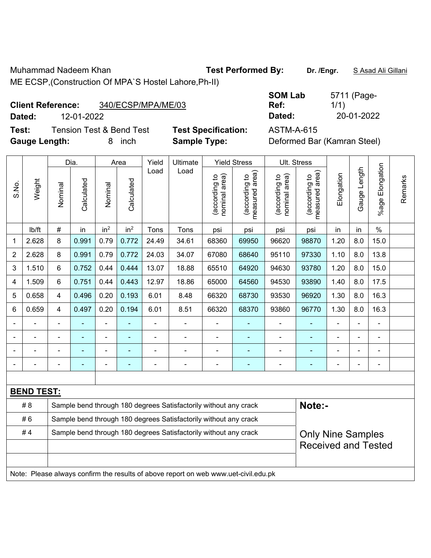Muhammad Nadeem Khan **Test Performed By: Dr. /Engr.** S Asad Ali Gillani ME ECSP,(Construction Of MPA`S Hostel Lahore,Ph-II)

**Client Reference:** 340/ECSP/MPA/ME/03

**Dated:** 12-01-2022 **Dated:** 20-01-2022

**Test:** Tension Test & Bend Test **Test Specification:** ASTM-A-615 **Gauge Length:** 8 inch **Sample Type:** Deformed Bar (Kamran Steel)

| <b>SOM Lab</b> | 5711 (Page- |
|----------------|-------------|
| Ref:           | 1/1)        |
| Dated:         | 20-01-2022  |

|                |                   |                            | Dia.       |                          | Area            | Yield          | Ultimate                                                                            |                                | <b>Yield Stress</b>             | Ult. Stress                    |                                 |                |                |                       |         |
|----------------|-------------------|----------------------------|------------|--------------------------|-----------------|----------------|-------------------------------------------------------------------------------------|--------------------------------|---------------------------------|--------------------------------|---------------------------------|----------------|----------------|-----------------------|---------|
| S.No.          | Weight            | Nominal                    | Calculated | Nominal                  | Calculated      | Load           | Load                                                                                | nominal area)<br>(according to | (according to<br>measured area) | (according to<br>nominal area) | measured area)<br>(according to | Elongation     | Gauge Length   | Elongation<br>$%$ age | Remarks |
|                | lb/ft             | $\#$                       | in         | in <sup>2</sup>          | in <sup>2</sup> | Tons           | Tons                                                                                | psi                            | psi                             | psi                            | psi                             | in             | in             | $\%$                  |         |
| 1              | 2.628             | 8                          | 0.991      | 0.79                     | 0.772           | 24.49          | 34.61                                                                               | 68360                          | 69950                           | 96620                          | 98870                           | 1.20           | 8.0            | 15.0                  |         |
| $\overline{2}$ | 2.628             | 8                          | 0.991      | 0.79                     | 0.772           | 24.03          | 34.07                                                                               | 67080                          | 68640                           | 95110                          | 97330                           | 1.10           | 8.0            | 13.8                  |         |
| 3              | 1.510             | 6                          | 0.752      | 0.44                     | 0.444           | 13.07          | 18.88                                                                               | 65510                          | 64920                           | 94630                          | 93780                           | 1.20           | 8.0            | 15.0                  |         |
| 4              | 1.509             | 6                          | 0.751      | 0.44                     | 0.443           | 12.97          | 18.86                                                                               | 65000                          | 64560                           | 94530                          | 93890                           | 1.40           | 8.0            | 17.5                  |         |
| 5              | 0.658             | 4                          | 0.496      | 0.20                     | 0.193           | 6.01           | 8.48                                                                                | 66320                          | 68730                           | 93530                          | 96920                           | 1.30           | 8.0            | 16.3                  |         |
| 6              | 0.659             | 4                          | 0.497      | 0.20                     | 0.194           | 6.01           | 8.51                                                                                | 66320                          | 68370                           | 93860                          | 96770                           | 1.30           | 8.0            | 16.3                  |         |
|                |                   | $\blacksquare$             | ä,         | $\overline{\phantom{0}}$ | ÷               | $\blacksquare$ | $\blacksquare$                                                                      | $\overline{a}$                 | $\blacksquare$                  | ÷                              | $\blacksquare$                  | $\overline{a}$ | $\blacksquare$ | $\blacksquare$        |         |
|                |                   |                            |            | $\blacksquare$           |                 | $\blacksquare$ | $\blacksquare$                                                                      | $\overline{a}$                 | ٠                               | ÷,                             | $\blacksquare$                  |                |                |                       |         |
|                |                   |                            |            |                          |                 |                |                                                                                     |                                | ۰                               |                                |                                 |                |                |                       |         |
| $\blacksquare$ |                   | $\blacksquare$             | ä,         | ä,                       | ÷               |                | $\blacksquare$                                                                      | $\overline{a}$                 | ٠                               | ÷                              | ۰                               | $\blacksquare$ | ä,             | $\blacksquare$        |         |
|                |                   |                            |            |                          |                 |                |                                                                                     |                                |                                 |                                |                                 |                |                |                       |         |
|                | <b>BEND TEST:</b> |                            |            |                          |                 |                |                                                                                     |                                |                                 |                                |                                 |                |                |                       |         |
|                | # 8               |                            |            |                          |                 |                | Sample bend through 180 degrees Satisfactorily without any crack                    |                                |                                 |                                | Note:-                          |                |                |                       |         |
|                | #6                |                            |            |                          |                 |                | Sample bend through 180 degrees Satisfactorily without any crack                    |                                |                                 |                                |                                 |                |                |                       |         |
|                | #4                |                            |            |                          |                 |                | Sample bend through 180 degrees Satisfactorily without any crack                    |                                |                                 |                                | <b>Only Nine Samples</b>        |                |                |                       |         |
|                |                   | <b>Received and Tested</b> |            |                          |                 |                |                                                                                     |                                |                                 |                                |                                 |                |                |                       |         |
|                |                   |                            |            |                          |                 |                |                                                                                     |                                |                                 |                                |                                 |                |                |                       |         |
|                |                   |                            |            |                          |                 |                | Note: Please always confirm the results of above report on web www.uet-civil.edu.pk |                                |                                 |                                |                                 |                |                |                       |         |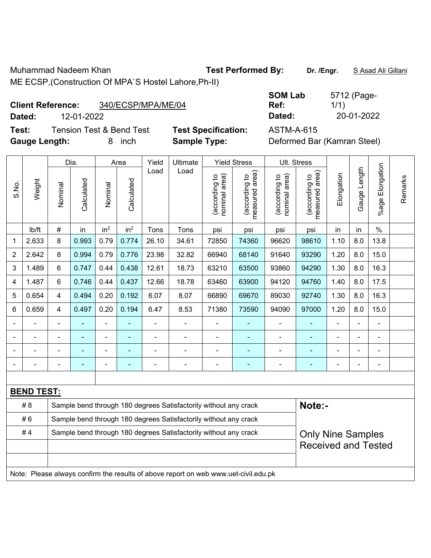Muhammad Nadeem Khan **Test Performed By: Dr. /Engr.** S Asad Ali Gillani ME ECSP,(Construction Of MPA`S Hostel Lahore,Ph-II)

| <b>Client Reference:</b> | 340/ECSP/MPA/ME/04 |
|--------------------------|--------------------|
|                          |                    |

**Dated:** 12-01-2022 **Dated:** 20-01-2022

**Test:** Tension Test & Bend Test **Test Specification:** ASTM-A-615 **Gauge Length:** 8 inch **Sample Type:** Deformed Bar (Kamran Steel)

| <b>SOM Lab</b> | 5712 (Page- |
|----------------|-------------|
| Ref:           | 1/1)        |
| Dated:         | 20-01-2022  |

|                |                   |                                                                  | Dia.           |                 | Area            | Yield | Ultimate                                                                            |                                | <b>Yield Stress</b>             |                                | Ult. Stress                     |                          |              |                       |         |
|----------------|-------------------|------------------------------------------------------------------|----------------|-----------------|-----------------|-------|-------------------------------------------------------------------------------------|--------------------------------|---------------------------------|--------------------------------|---------------------------------|--------------------------|--------------|-----------------------|---------|
| S.No.          | Weight            | Nominal                                                          | Calculated     | Nominal         | Calculated      | Load  | Load                                                                                | nominal area)<br>(according to | (according to<br>measured area) | nominal area)<br>(according to | (according to<br>measured area) | Elongation               | Gauge Length | Elongation<br>$%$ age | Remarks |
|                | lb/ft             | $\#$                                                             | in             | in <sup>2</sup> | in <sup>2</sup> | Tons  | Tons                                                                                | psi                            | psi                             | psi                            | psi                             | in                       | in           | $\frac{0}{0}$         |         |
| 1              | 2.633             | 8                                                                | 0.993          | 0.79            | 0.774           | 26.10 | 34.61                                                                               | 72850                          | 74360                           | 96620                          | 98610                           | 1.10                     | 8.0          | 13.8                  |         |
| $\overline{2}$ | 2.642             | 8                                                                | 0.994          | 0.79            | 0.776           | 23.98 | 32.82                                                                               | 66940                          | 68140                           | 91640                          | 93290                           | 1.20                     | 8.0          | 15.0                  |         |
| 3              | 1.489             | 6                                                                | 0.747          | 0.44            | 0.438           | 12.61 | 18.73                                                                               | 63210                          | 63500                           | 93860                          | 94290                           | 1.30                     | 8.0          | 16.3                  |         |
| $\overline{4}$ | 1.487             | 6                                                                | 0.746          | 0.44            | 0.437           | 12.66 | 18.78                                                                               | 63460                          | 63900                           | 94120                          | 94760                           | 1.40                     | 8.0          | 17.5                  |         |
| 5              | 0.654             | $\overline{4}$                                                   | 0.494          | 0.20            | 0.192           | 6.07  | 8.07                                                                                | 66890                          | 69670                           | 89030                          | 92740                           | 1.30                     | 8.0          | 16.3                  |         |
| 6              | 0.659             | $\overline{4}$                                                   | 0.497          | 0.20            | 0.194           | 6.47  | 8.53                                                                                | 71380                          | 73590                           | 94090                          | 97000                           | 1.20                     | 8.0          | 15.0                  |         |
|                |                   | $\blacksquare$                                                   |                |                 |                 |       |                                                                                     |                                |                                 | $\blacksquare$                 |                                 |                          |              | $\blacksquare$        |         |
|                |                   |                                                                  |                | ÷               |                 |       |                                                                                     |                                |                                 |                                |                                 |                          | ÷            | ä,                    |         |
|                |                   |                                                                  | ٠              | ۰               |                 |       | $\blacksquare$                                                                      | $\blacksquare$                 | $\blacksquare$                  | $\blacksquare$                 | $\blacksquare$                  |                          | ä,           | $\blacksquare$        |         |
|                |                   | $\overline{\phantom{0}}$                                         | $\blacksquare$ | $\blacksquare$  | ٠               |       | $\blacksquare$                                                                      | $\blacksquare$                 | $\blacksquare$                  | $\blacksquare$                 | $\blacksquare$                  | ÷                        | ÷            | $\blacksquare$        |         |
|                |                   |                                                                  |                |                 |                 |       |                                                                                     |                                |                                 |                                |                                 |                          |              |                       |         |
|                | <b>BEND TEST:</b> |                                                                  |                |                 |                 |       |                                                                                     |                                |                                 |                                |                                 |                          |              |                       |         |
|                | # 8               |                                                                  |                |                 |                 |       | Sample bend through 180 degrees Satisfactorily without any crack                    |                                |                                 |                                | Note:-                          |                          |              |                       |         |
|                | #6                |                                                                  |                |                 |                 |       | Sample bend through 180 degrees Satisfactorily without any crack                    |                                |                                 |                                |                                 |                          |              |                       |         |
|                | #4                | Sample bend through 180 degrees Satisfactorily without any crack |                |                 |                 |       |                                                                                     |                                |                                 |                                |                                 | <b>Only Nine Samples</b> |              |                       |         |
|                |                   |                                                                  |                |                 |                 |       |                                                                                     |                                |                                 |                                | <b>Received and Tested</b>      |                          |              |                       |         |
|                |                   |                                                                  |                |                 |                 |       |                                                                                     |                                |                                 |                                |                                 |                          |              |                       |         |
|                |                   |                                                                  |                |                 |                 |       | Note: Please always confirm the results of above report on web www.uet-civil.edu.pk |                                |                                 |                                |                                 |                          |              |                       |         |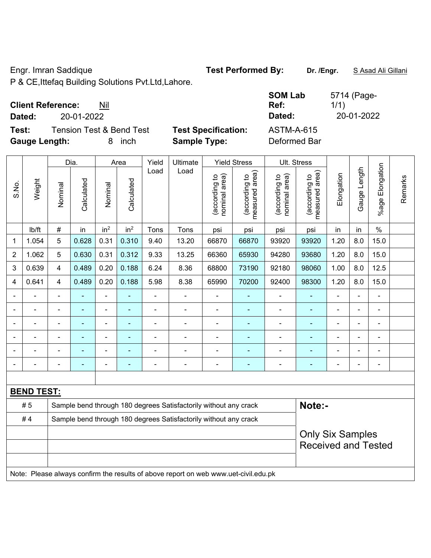Engr. Imran Saddique **Test Performed By: Dr. /Engr.** S Asad Ali Gillani

P & CE,Ittefaq Building Solutions Pvt.Ltd,Lahore.

### **Client Reference:** Nil

**Dated:** 20-01-2022 **Dated:** 20-01-2022

**Test:** Tension Test & Bend Test Test Specification: **Gauge Length:** 8 inch **Sample Type:** Deformed Bar

| <b>SOM Lab</b><br>Ref: | 5714 (Page-<br>1/1) |
|------------------------|---------------------|
| Dated:                 | 20-01-2022          |
| ASTM-A-615             |                     |

|                              |                                                                                     |                                                                  | Dia.       |                 | Area                     | Yield<br>Ultimate |                                                                  |                                | <b>Yield Stress</b>                                   |                                | Ult. Stress                     |            |              |                          |         |
|------------------------------|-------------------------------------------------------------------------------------|------------------------------------------------------------------|------------|-----------------|--------------------------|-------------------|------------------------------------------------------------------|--------------------------------|-------------------------------------------------------|--------------------------------|---------------------------------|------------|--------------|--------------------------|---------|
| S.No.                        | Weight                                                                              | Nominal                                                          | Calculated | Nominal         | Calculated               | Load              | Load                                                             | nominal area)<br>(according to | (according to<br>measured area)                       | (according to<br>nominal area) | measured area)<br>(according to | Elongation | Gauge Length | Elongation<br>$%$ age    | Remarks |
|                              | Ib/ft                                                                               | #                                                                | in         | in <sup>2</sup> | in <sup>2</sup>          | Tons              | Tons                                                             | psi                            | psi                                                   | psi                            | psi                             | in         | in           | $\frac{0}{0}$            |         |
| 1                            | 1.054                                                                               | 5                                                                | 0.628      | 0.31            | 0.310                    | 9.40              | 13.20                                                            | 66870                          | 66870                                                 | 93920                          | 93920                           | 1.20       | 8.0          | 15.0                     |         |
| $\overline{2}$               | 1.062                                                                               | 5                                                                | 0.630      | 0.31            | 0.312                    | 9.33              | 13.25                                                            | 66360                          | 65930                                                 | 94280                          | 93680                           | 1.20       | 8.0          | 15.0                     |         |
| 3                            | 0.639                                                                               | $\overline{4}$                                                   | 0.489      | 0.20            | 0.188                    | 6.24              | 8.36                                                             | 68800                          | 73190                                                 | 92180                          | 98060                           | 1.00       | 8.0          | 12.5                     |         |
| 4                            | 0.641                                                                               | 4                                                                | 0.489      | 0.20            | 0.188                    | 5.98              | 8.38                                                             | 65990                          | 70200                                                 | 92400                          | 98300                           | 1.20       | 8.0          | 15.0                     |         |
| $\blacksquare$               |                                                                                     | $\blacksquare$                                                   |            | $\blacksquare$  |                          | $\blacksquare$    | $\blacksquare$                                                   | $\overline{\phantom{a}}$       | $\blacksquare$                                        | $\blacksquare$                 | ٠                               |            | ä,           | $\blacksquare$           |         |
|                              |                                                                                     |                                                                  | L,         | $\blacksquare$  | ٠                        | $\blacksquare$    | $\blacksquare$                                                   | $\blacksquare$                 | $\blacksquare$                                        | $\blacksquare$                 | $\blacksquare$                  |            |              | $\blacksquare$           |         |
| $\blacksquare$               |                                                                                     | ä,                                                               | ÷,         | $\frac{1}{2}$   | $\blacksquare$           | $\blacksquare$    | $\blacksquare$                                                   | $\blacksquare$                 | $\blacksquare$                                        | $\blacksquare$                 | $\blacksquare$                  | ÷          | ä,           | $\blacksquare$           |         |
|                              |                                                                                     |                                                                  |            | $\blacksquare$  |                          |                   |                                                                  |                                |                                                       | -                              |                                 |            |              | ä,                       |         |
|                              |                                                                                     |                                                                  |            |                 |                          |                   |                                                                  |                                |                                                       |                                |                                 |            |              |                          |         |
| $\qquad \qquad \blacksquare$ |                                                                                     |                                                                  | ۰          |                 | $\overline{\phantom{0}}$ |                   | $\blacksquare$                                                   | $\overline{\phantom{0}}$       | $\overline{\phantom{0}}$                              | -                              | $\blacksquare$                  |            |              | $\overline{\phantom{a}}$ |         |
|                              |                                                                                     |                                                                  |            |                 |                          |                   |                                                                  |                                |                                                       |                                |                                 |            |              |                          |         |
| <b>BEND TEST:</b>            |                                                                                     |                                                                  |            |                 |                          |                   |                                                                  |                                |                                                       |                                |                                 |            |              |                          |         |
|                              | #5                                                                                  |                                                                  |            |                 |                          |                   | Sample bend through 180 degrees Satisfactorily without any crack |                                |                                                       |                                | Note:-                          |            |              |                          |         |
|                              | #4                                                                                  | Sample bend through 180 degrees Satisfactorily without any crack |            |                 |                          |                   |                                                                  |                                |                                                       |                                |                                 |            |              |                          |         |
|                              |                                                                                     |                                                                  |            |                 |                          |                   |                                                                  |                                | <b>Only Six Samples</b><br><b>Received and Tested</b> |                                |                                 |            |              |                          |         |
|                              | Note: Please always confirm the results of above report on web www.uet-civil.edu.pk |                                                                  |            |                 |                          |                   |                                                                  |                                |                                                       |                                |                                 |            |              |                          |         |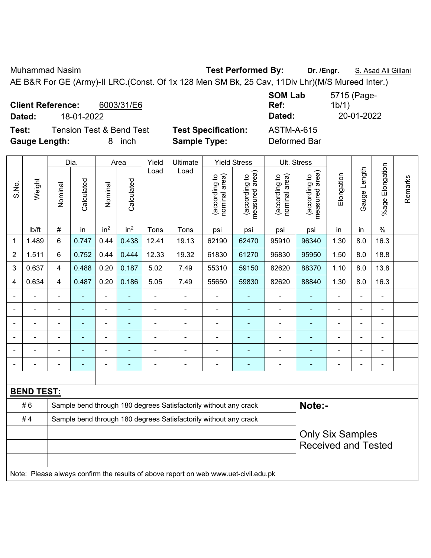Muhammad Nasim **Test Performed By: Dr. /Engr.** S. Asad Ali Gillani

AE B&R For GE (Army)-II LRC.(Const. Of 1x 128 Men SM Bk, 25 Cav, 11Div Lhr)(M/S Mureed Inter.)

**Client Reference:** 6003/31/E6 **Dated:** 18-01-2022 **Dated:** 20-01-2022 **Test:** Tension Test & Bend Test **Test Specification:** ASTM-A-615

**SOM Lab Ref:**  5715 (Page-1b/1)

**Gauge Length:** 8 inch **Sample Type:** Deformed Bar

|                   | Weight                                                                              | Dia.                                                                       |            | Area                         |                 | Yield          | Ultimate                 |                                | <b>Yield Stress</b>             |                                | Ult. Stress                        |                |                |                       |         |
|-------------------|-------------------------------------------------------------------------------------|----------------------------------------------------------------------------|------------|------------------------------|-----------------|----------------|--------------------------|--------------------------------|---------------------------------|--------------------------------|------------------------------------|----------------|----------------|-----------------------|---------|
| S.No.             |                                                                                     | Nominal                                                                    | Calculated | Nominal                      | Calculated      | Load           | Load                     | nominal area)<br>(according to | measured area)<br>(according to | nominal area)<br>(according to | area)<br>(according to<br>measured | Elongation     | Gauge Length   | Elongation<br>$%$ age | Remarks |
|                   | lb/ft                                                                               | $\#$                                                                       | in         | in <sup>2</sup>              | in <sup>2</sup> | Tons           | Tons                     | psi                            | psi                             | psi                            | psi                                | in             | in             | $\%$                  |         |
| 1                 | 1.489                                                                               | $\,6$                                                                      | 0.747      | 0.44                         | 0.438           | 12.41          | 19.13                    | 62190                          | 62470                           | 95910                          | 96340                              | 1.30           | 8.0            | 16.3                  |         |
| $\overline{2}$    | 1.511                                                                               | $6\phantom{1}$                                                             | 0.752      | 0.44                         | 0.444           | 12.33          | 19.32                    | 61830                          | 61270                           | 96830                          | 95950                              | 1.50           | 8.0            | 18.8                  |         |
| 3                 | 0.637                                                                               | $\overline{4}$                                                             | 0.488      | 0.20                         | 0.187           | 5.02           | 7.49                     | 55310                          | 59150                           | 82620                          | 88370                              | 1.10           | 8.0            | 13.8                  |         |
| 4                 | 0.634                                                                               | 4                                                                          | 0.487      | 0.20                         | 0.186           | 5.05           | 7.49                     | 55650                          | 59830                           | 82620                          | 88840                              | 1.30           | 8.0            | 16.3                  |         |
| $\blacksquare$    |                                                                                     | ä,                                                                         |            | $\blacksquare$               | ä,              | L,             | ä,                       | $\blacksquare$                 | ٠                               | ä,                             | $\blacksquare$                     | $\blacksquare$ | ä,             | $\blacksquare$        |         |
|                   |                                                                                     | $\overline{\phantom{0}}$                                                   | ÷,         | $\qquad \qquad \blacksquare$ | $\blacksquare$  | $\blacksquare$ | $\blacksquare$           | $\blacksquare$                 | $\blacksquare$                  | $\overline{\phantom{0}}$       | $\blacksquare$                     | $\blacksquare$ |                | $\blacksquare$        |         |
| Ē,                | $\blacksquare$                                                                      | ä,                                                                         | L,         | $\blacksquare$               | ä,              | L,             | ä,                       | $\overline{\phantom{a}}$       | ÷,                              | $\overline{\phantom{0}}$       | $\blacksquare$                     | L,             | $\blacksquare$ | $\blacksquare$        |         |
|                   |                                                                                     | Ē,                                                                         |            | $\qquad \qquad \blacksquare$ | $\blacksquare$  | Ē,             | $\overline{\phantom{0}}$ | ä,                             | ÷                               | ä,                             | $\blacksquare$                     |                |                | $\blacksquare$        |         |
|                   |                                                                                     |                                                                            |            | ٠                            |                 |                |                          | $\blacksquare$                 | ۰                               |                                | $\blacksquare$                     |                |                |                       |         |
|                   |                                                                                     |                                                                            |            |                              |                 |                |                          | $\blacksquare$                 |                                 |                                |                                    | Ē,             |                | $\blacksquare$        |         |
|                   |                                                                                     |                                                                            |            |                              |                 |                |                          |                                |                                 |                                |                                    |                |                |                       |         |
| <b>BEND TEST:</b> |                                                                                     |                                                                            |            |                              |                 |                |                          |                                |                                 |                                |                                    |                |                |                       |         |
|                   | #6                                                                                  | Note:-<br>Sample bend through 180 degrees Satisfactorily without any crack |            |                              |                 |                |                          |                                |                                 |                                |                                    |                |                |                       |         |
|                   | #4                                                                                  | Sample bend through 180 degrees Satisfactorily without any crack           |            |                              |                 |                |                          |                                |                                 |                                |                                    |                |                |                       |         |
|                   |                                                                                     |                                                                            |            |                              |                 |                |                          |                                |                                 | <b>Only Six Samples</b>        |                                    |                |                |                       |         |
|                   |                                                                                     |                                                                            |            |                              |                 |                |                          | <b>Received and Tested</b>     |                                 |                                |                                    |                |                |                       |         |
|                   |                                                                                     |                                                                            |            |                              |                 |                |                          |                                |                                 |                                |                                    |                |                |                       |         |
|                   | Note: Please always confirm the results of above report on web www.uet-civil.edu.pk |                                                                            |            |                              |                 |                |                          |                                |                                 |                                |                                    |                |                |                       |         |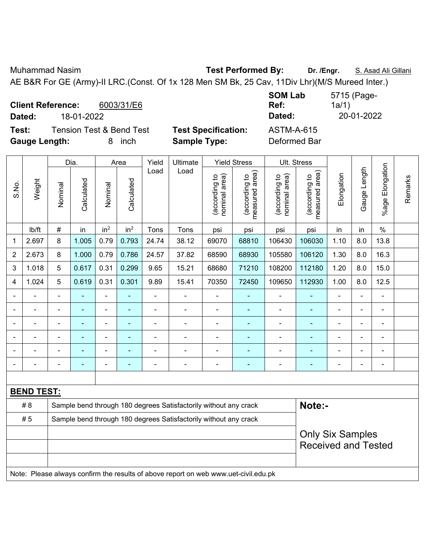Muhammad Nasim **Test Performed By: Dr. /Engr.** S. Asad Ali Gillani

AE B&R For GE (Army)-II LRC.(Const. Of 1x 128 Men SM Bk, 25 Cav, 11Div Lhr)(M/S Mureed Inter.)

**Client Reference:** 6003/31/E6 **Dated:** 18-01-2022 **Dated:** 20-01-2022 **Test:** Tension Test & Bend Test **Test Specification:** ASTM-A-615

**SOM Lab Ref:**  5715 (Page-1a/1)

**Gauge Length:** 8 inch **Sample Type:** Deformed Bar

| ena rest |  |
|----------|--|
| inch     |  |

|                   |                                                                                     | Dia.                                                             |                | Area            |                 | Yield          | Ultimate                                                         | <b>Yield Stress</b>            |                                 |                                | Ult. Stress                     |                |                |                 |         |
|-------------------|-------------------------------------------------------------------------------------|------------------------------------------------------------------|----------------|-----------------|-----------------|----------------|------------------------------------------------------------------|--------------------------------|---------------------------------|--------------------------------|---------------------------------|----------------|----------------|-----------------|---------|
| S.No.             | Weight                                                                              | Nominal                                                          | Calculated     | Nominal         | Calculated      | Load           | Load                                                             | nominal area)<br>(according to | measured area)<br>(according to | (according to<br>nominal area) | measured area)<br>(according to | Elongation     | Gauge Length   | %age Elongation | Remarks |
|                   | lb/ft                                                                               | $\#$                                                             | in             | in <sup>2</sup> | in <sup>2</sup> | Tons           | Tons                                                             | psi                            | psi                             | psi                            | psi                             | in             | in             | $\%$            |         |
| $\mathbf{1}$      | 2.697                                                                               | 8                                                                | 1.005          | 0.79            | 0.793           | 24.74          | 38.12                                                            | 69070                          | 68810                           | 106430                         | 106030                          | 1.10           | 8.0            | 13.8            |         |
| $\overline{2}$    | 2.673                                                                               | 8                                                                | 1.000          | 0.79            | 0.786           | 24.57          | 37.82                                                            | 68590                          | 68930                           | 105580                         | 106120                          | 1.30           | 8.0            | 16.3            |         |
| 3                 | 1.018                                                                               | 5                                                                | 0.617          | 0.31            | 0.299           | 9.65           | 15.21                                                            | 68680                          | 71210                           | 108200                         | 112180                          | 1.20           | 8.0            | 15.0            |         |
| 4                 | 1.024                                                                               | 5                                                                | 0.619          | 0.31            | 0.301           | 9.89           | 15.41                                                            | 70350                          | 72450                           | 109650                         | 112930                          | 1.00           | 8.0            | 12.5            |         |
|                   |                                                                                     |                                                                  |                |                 |                 |                |                                                                  |                                |                                 |                                |                                 |                |                |                 |         |
|                   |                                                                                     |                                                                  |                | ä,              |                 | Ē,             | Ē,                                                               | $\blacksquare$                 | ۰                               |                                | ۰                               |                |                |                 |         |
|                   |                                                                                     |                                                                  | $\blacksquare$ | ä,              | ÷               | L,             | Ē,                                                               | $\blacksquare$                 | ۳                               |                                | ٠                               | $\blacksquare$ | ä,             | ä,              |         |
|                   |                                                                                     |                                                                  |                | -               |                 | $\blacksquare$ | $\blacksquare$                                                   |                                | ÷                               | $\blacksquare$                 | ۰                               | $\blacksquare$ |                | -               |         |
|                   |                                                                                     |                                                                  | $\blacksquare$ | ä,              | ۰               | $\blacksquare$ | ÷,                                                               | $\blacksquare$                 | ÷                               | $\blacksquare$                 | ÷,                              | $\blacksquare$ | $\blacksquare$ | $\blacksquare$  |         |
|                   |                                                                                     |                                                                  |                |                 |                 |                | Ē,                                                               | $\blacksquare$                 | ۳                               |                                | ÷                               |                |                | ÷               |         |
|                   |                                                                                     |                                                                  |                |                 |                 |                |                                                                  |                                |                                 |                                |                                 |                |                |                 |         |
| <b>BEND TEST:</b> |                                                                                     |                                                                  |                |                 |                 |                |                                                                  |                                |                                 |                                |                                 |                |                |                 |         |
|                   | #8                                                                                  |                                                                  |                |                 |                 |                | Sample bend through 180 degrees Satisfactorily without any crack |                                |                                 |                                | Note:-                          |                |                |                 |         |
|                   | #5                                                                                  | Sample bend through 180 degrees Satisfactorily without any crack |                |                 |                 |                |                                                                  |                                |                                 |                                |                                 |                |                |                 |         |
|                   |                                                                                     |                                                                  |                |                 |                 |                |                                                                  |                                |                                 |                                | <b>Only Six Samples</b>         |                |                |                 |         |
|                   |                                                                                     |                                                                  |                |                 |                 |                | <b>Received and Tested</b>                                       |                                |                                 |                                |                                 |                |                |                 |         |
|                   |                                                                                     |                                                                  |                |                 |                 |                |                                                                  |                                |                                 |                                |                                 |                |                |                 |         |
|                   | Note: Please always confirm the results of above report on web www.uet-civil.edu.pk |                                                                  |                |                 |                 |                |                                                                  |                                |                                 |                                |                                 |                |                |                 |         |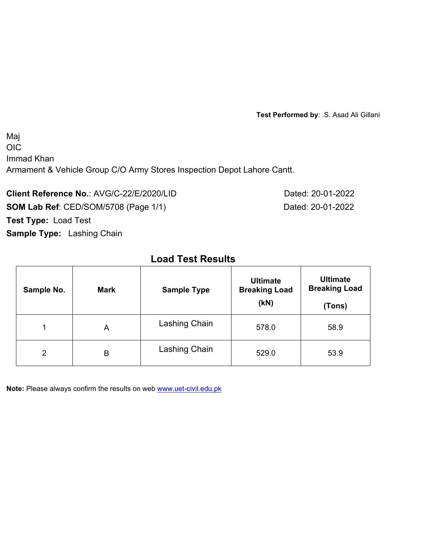**Test Performed by**: .S. Asad Ali Gillani

Maj OIC Immad Khan Armament & Vehicle Group C/O Army Stores Inspection Depot Lahore Cantt.

**Client Reference No.: AVG/C-22/E/2020/LID Dated: 20-01-2022 SOM Lab Ref**: CED/SOM/5708 (Page 1/1) Dated: 20-01-2022 **Test Type:** Load Test **Sample Type:** Lashing Chain

# **Load Test Results**

| Sample No.     | <b>Mark</b> | <b>Sample Type</b> | <b>Ultimate</b><br><b>Breaking Load</b><br>(KN) | <b>Ultimate</b><br><b>Breaking Load</b><br>(Tons) |  |
|----------------|-------------|--------------------|-------------------------------------------------|---------------------------------------------------|--|
| 1              | A           | Lashing Chain      | 578.0                                           | 58.9                                              |  |
| $\overline{2}$ | B           | Lashing Chain      | 529.0                                           | 53.9                                              |  |

**Note:** Please always confirm the results on web **www.uet-civil.edu.pk**